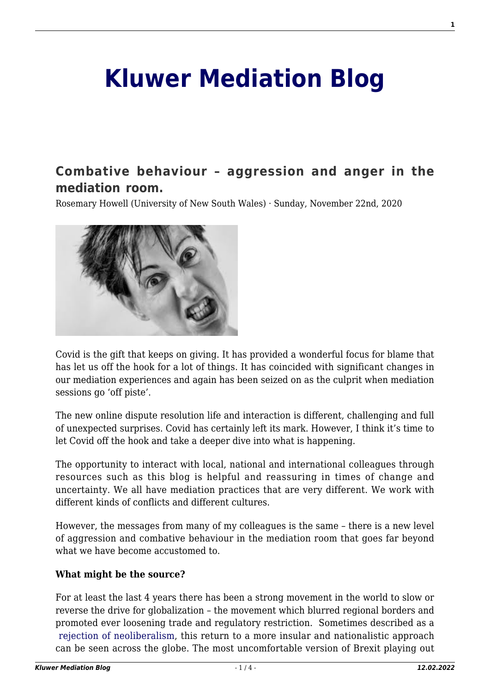# **[Kluwer Mediation Blog](http://mediationblog.kluwerarbitration.com/)**

# **[Combative behaviour – aggression and anger in the](http://mediationblog.kluwerarbitration.com/2020/11/22/combative-behaviour-aggression-and-anger-in-the-mediation-room/) [mediation room.](http://mediationblog.kluwerarbitration.com/2020/11/22/combative-behaviour-aggression-and-anger-in-the-mediation-room/)**

Rosemary Howell (University of New South Wales) · Sunday, November 22nd, 2020



Covid is the gift that keeps on giving. It has provided a wonderful focus for blame that has let us off the hook for a lot of things. It has coincided with significant changes in our mediation experiences and again has been seized on as the culprit when mediation sessions go 'off piste'.

The new online dispute resolution life and interaction is different, challenging and full of unexpected surprises. Covid has certainly left its mark. However, I think it's time to let Covid off the hook and take a deeper dive into what is happening.

The opportunity to interact with local, national and international colleagues through resources such as this blog is helpful and reassuring in times of change and uncertainty. We all have mediation practices that are very different. We work with different kinds of conflicts and different cultures.

However, the messages from many of my colleagues is the same – there is a new level of aggression and combative behaviour in the mediation room that goes far beyond what we have become accustomed to.

#### **What might be the source?**

For at least the last 4 years there has been a strong movement in the world to slow or reverse the drive for globalization – the movement which blurred regional borders and promoted ever loosening trade and regulatory restriction. Sometimes described as a [rejection of neoliberalism](https://en.wikipedia.org/wiki/Neoliberalism), this return to a more insular and nationalistic approach can be seen across the globe. The most uncomfortable version of Brexit playing out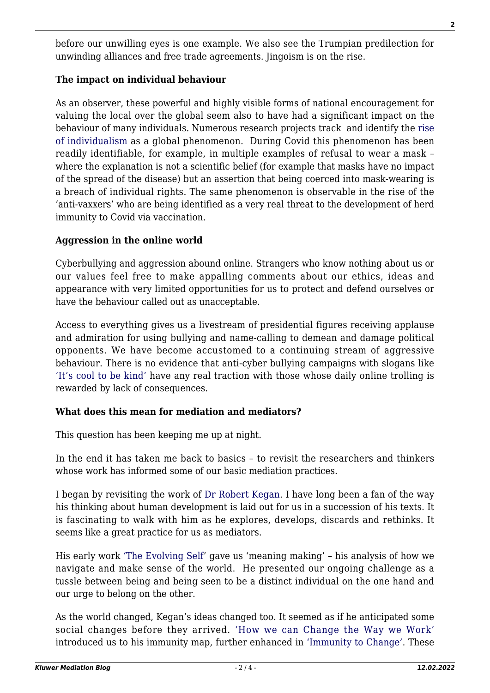before our unwilling eyes is one example. We also see the Trumpian predilection for unwinding alliances and free trade agreements. Jingoism is on the rise.

## **The impact on individual behaviour**

As an observer, these powerful and highly visible forms of national encouragement for valuing the local over the global seem also to have had a significant impact on the behaviour of many individuals. Numerous research projects track and identify the [rise](https://www.psychologicalscience.org/news/releases/individualistic-practices-and-values-increasing-around-the-world.html) [of individualism](https://www.psychologicalscience.org/news/releases/individualistic-practices-and-values-increasing-around-the-world.html) as a global phenomenon. During Covid this phenomenon has been readily identifiable, for example, in multiple examples of refusal to wear a mask – where the explanation is not a scientific belief (for example that masks have no impact of the spread of the disease) but an assertion that being coerced into mask-wearing is a breach of individual rights. The same phenomenon is observable in the rise of the 'anti-vaxxers' who are being identified as a very real threat to the development of herd immunity to Covid via vaccination.

#### **Aggression in the online world**

Cyberbullying and aggression abound online. Strangers who know nothing about us or our values feel free to make appalling comments about our ethics, ideas and appearance with very limited opportunities for us to protect and defend ourselves or have the behaviour called out as unacceptable.

Access to everything gives us a livestream of presidential figures receiving applause and admiration for using bullying and name-calling to demean and damage political opponents. We have become accustomed to a continuing stream of aggressive behaviour. There is no evidence that anti-cyber bullying campaigns with slogans like ['It's cool to be kind'](https://www.thecooltobekindproject.org/) have any real traction with those whose daily online trolling is rewarded by lack of consequences.

#### **What does this mean for mediation and mediators?**

This question has been keeping me up at night.

In the end it has taken me back to basics – to revisit the researchers and thinkers whose work has informed some of our basic mediation practices.

I began by revisiting the work of [Dr Robert Kegan](https://en.wikipedia.org/wiki/Robert_Kegan). I have long been a fan of the way his thinking about human development is laid out for us in a succession of his texts. It is fascinating to walk with him as he explores, develops, discards and rethinks. It seems like a great practice for us as mediators.

His early work ['The Evolving Self](https://archive.org/details/evolvingselfprob00kega)' gave us 'meaning making' – his analysis of how we navigate and make sense of the world. He presented our ongoing challenge as a tussle between being and being seen to be a distinct individual on the one hand and our urge to belong on the other.

As the world changed, Kegan's ideas changed too. It seemed as if he anticipated some social changes before they arrived. ['How we can Change the Way we Work'](https://archive.org/details/howwaywetalkcanc0000kega) introduced us to his immunity map, further enhanced in ['Immunity to Change'](https://archive.org/details/isbn_9781422117361). These

**2**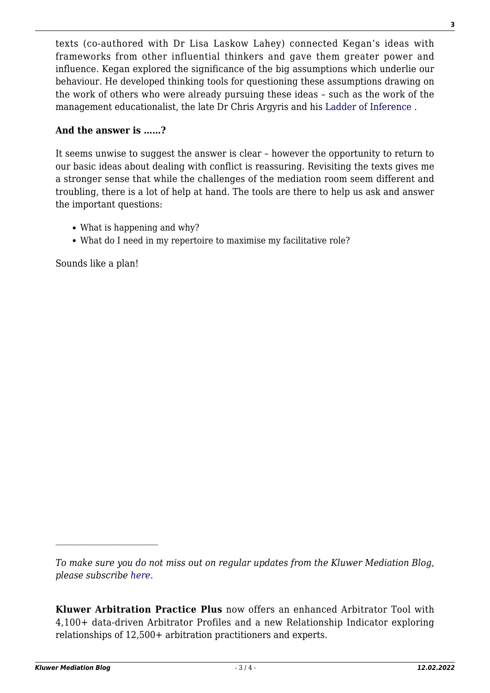texts (co-authored with Dr Lisa Laskow Lahey) connected Kegan's ideas with frameworks from other influential thinkers and gave them greater power and influence. Kegan explored the significance of the big assumptions which underlie our behaviour. He developed thinking tools for questioning these assumptions drawing on the work of others who were already pursuing these ideas – such as the work of the management educationalist, the late Dr Chris Argyris and his [Ladder of Inference](https://en.wikipedia.org/wiki/Chris_Argyris) .

# **And the answer is ……?**

It seems unwise to suggest the answer is clear – however the opportunity to return to our basic ideas about dealing with conflict is reassuring. Revisiting the texts gives me a stronger sense that while the challenges of the mediation room seem different and troubling, there is a lot of help at hand. The tools are there to help us ask and answer the important questions:

- What is happening and why?
- What do I need in my repertoire to maximise my facilitative role?

Sounds like a plan!

*To make sure you do not miss out on regular updates from the Kluwer Mediation Blog, please subscribe [here.](http://mediationblog.kluwerarbitration.com/newsletter/)*

**Kluwer Arbitration Practice Plus** now offers an enhanced Arbitrator Tool with 4,100+ data-driven Arbitrator Profiles and a new Relationship Indicator exploring relationships of 12,500+ arbitration practitioners and experts.